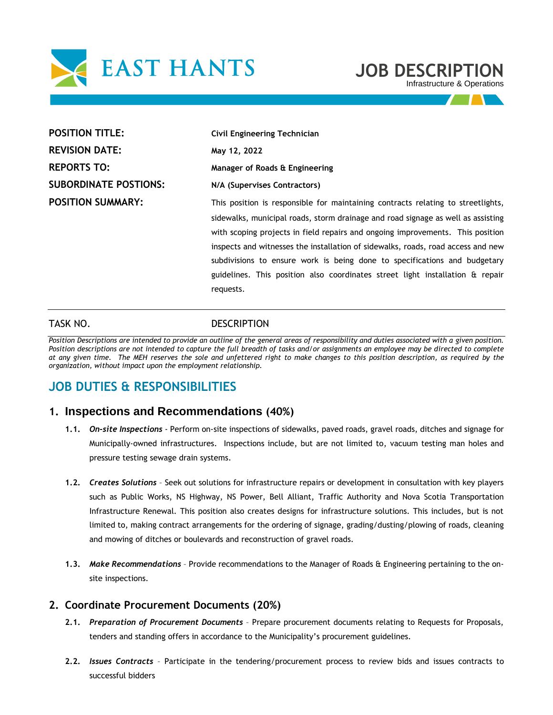

# **JOB DESCRIPTION**

Infrastructure & Operations

| <b>POSITION TITLE:</b>       | Civil Engineering Technician                                                     |  |
|------------------------------|----------------------------------------------------------------------------------|--|
| <b>REVISION DATE:</b>        | May 12, 2022                                                                     |  |
| <b>REPORTS TO:</b>           | Manager of Roads & Engineering                                                   |  |
| <b>SUBORDINATE POSTIONS:</b> | N/A (Supervises Contractors)                                                     |  |
| <b>POSITION SUMMARY:</b>     | This position is responsible for maintaining contracts relating to streetlights, |  |
|                              | sidewalks, municipal roads, storm drainage and road signage as well as assisting |  |
|                              | with scoping projects in field repairs and ongoing improvements. This position   |  |
|                              | inspects and witnesses the installation of sidewalks, roads, road access and new |  |
|                              | subdivisions to ensure work is being done to specifications and budgetary        |  |
|                              | guidelines. This position also coordinates street light installation & repair    |  |
|                              | requests.                                                                        |  |
|                              |                                                                                  |  |

#### TASK NO. **DESCRIPTION**

*Position Descriptions are intended to provide an outline of the general areas of responsibility and duties associated with a given position. Position descriptions are not intended to capture the full breadth of tasks and/or assignments an employee may be directed to complete at any given time. The MEH reserves the sole and unfettered right to make changes to this position description, as required by the organization, without impact upon the employment relationship.* 

# **JOB DUTIES & RESPONSIBILITIES**

### **1. Inspections and Recommendations (40%)**

- **1.1.** *On-site Inspections*  Perform on-site inspections of sidewalks, paved roads, gravel roads, ditches and signage for Municipally-owned infrastructures. Inspections include, but are not limited to, vacuum testing man holes and pressure testing sewage drain systems.
- **1.2.** *Creates Solutions* Seek out solutions for infrastructure repairs or development in consultation with key players such as Public Works, NS Highway, NS Power, Bell Alliant, Traffic Authority and Nova Scotia Transportation Infrastructure Renewal. This position also creates designs for infrastructure solutions. This includes, but is not limited to, making contract arrangements for the ordering of signage, grading/dusting/plowing of roads, cleaning and mowing of ditches or boulevards and reconstruction of gravel roads.
- **1.3.** *Make Recommendations*  Provide recommendations to the Manager of Roads & Engineering pertaining to the onsite inspections.

#### **2. Coordinate Procurement Documents (20%)**

- **2.1.** *Preparation of Procurement Documents*  Prepare procurement documents relating to Requests for Proposals, tenders and standing offers in accordance to the Municipality's procurement guidelines.
- **2.2.** *Issues Contracts*  Participate in the tendering/procurement process to review bids and issues contracts to successful bidders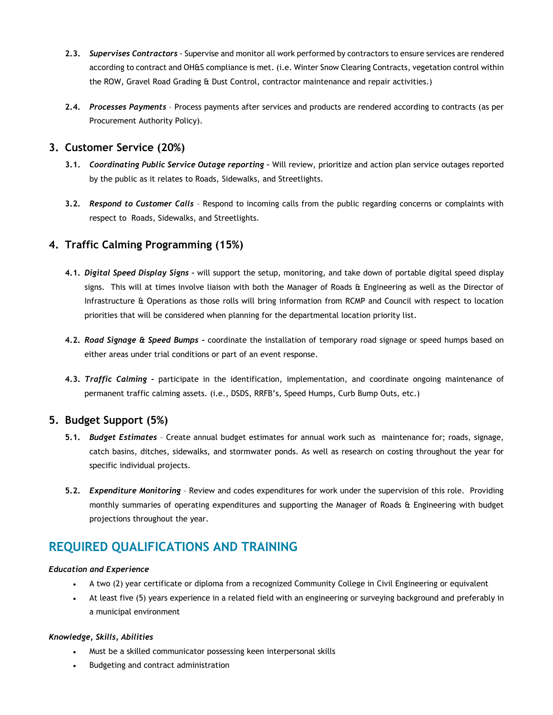- **2.3.** *Supervises Contractors*  Supervise and monitor all work performed by contractors to ensure services are rendered according to contract and OH&S compliance is met. (i.e. Winter Snow Clearing Contracts, vegetation control within the ROW, Gravel Road Grading & Dust Control, contractor maintenance and repair activities.)
- **2.4.** *Processes Payments*  Process payments after services and products are rendered according to contracts (as per Procurement Authority Policy).

## **3. Customer Service (20%)**

- **3.1.** *Coordinating Public Service Outage reporting –* Will review, prioritize and action plan service outages reported by the public as it relates to Roads, Sidewalks, and Streetlights.
- **3.2.** *Respond to Customer Calls*  Respond to incoming calls from the public regarding concerns or complaints with respect to Roads, Sidewalks, and Streetlights.

# **4. Traffic Calming Programming (15%)**

- **4.1.** *Digital Speed Display Signs –* will support the setup, monitoring, and take down of portable digital speed display signs. This will at times involve liaison with both the Manager of Roads & Engineering as well as the Director of Infrastructure & Operations as those rolls will bring information from RCMP and Council with respect to location priorities that will be considered when planning for the departmental location priority list.
- **4.2.** *Road Signage & Speed Bumps -* coordinate the installation of temporary road signage or speed humps based on either areas under trial conditions or part of an event response.
- **4.3.** *Traffic Calming -* participate in the identification, implementation, and coordinate ongoing maintenance of permanent traffic calming assets. (i.e., DSDS, RRFB's, Speed Humps, Curb Bump Outs, etc.)

# **5. Budget Support (5%)**

- **5.1.** *Budget Estimates* Create annual budget estimates for annual work such as maintenance for; roads, signage, catch basins, ditches, sidewalks, and stormwater ponds. As well as research on costing throughout the year for specific individual projects.
- **5.2.** *Expenditure Monitoring* Review and codes expenditures for work under the supervision of this role. Providing monthly summaries of operating expenditures and supporting the Manager of Roads & Engineering with budget projections throughout the year.

# **REQUIRED QUALIFICATIONS AND TRAINING**

#### *Education and Experience*

- A two (2) year certificate or diploma from a recognized Community College in Civil Engineering or equivalent
- At least five (5) years experience in a related field with an engineering or surveying background and preferably in a municipal environment

#### *Knowledge, Skills, Abilities*

- Must be a skilled communicator possessing keen interpersonal skills
- Budgeting and contract administration